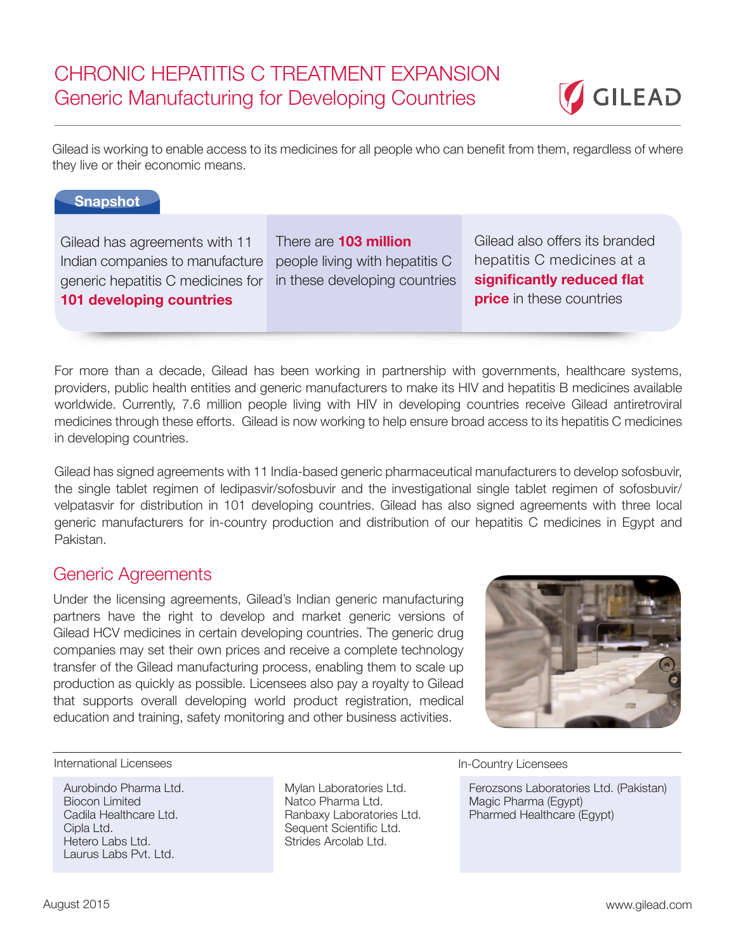

Gilead is working to enable access to its medicines for all people who can benefit from them, regardless of where they live or their economic means.

## **Snapshot**

Gilead has agreements with 11 Indian companies to manufacture generic hepatitis C medicines for **101 developing countries**

There are **103 million**  people living with hepatitis C in these developing countries Gilead also offers its branded hepatitis C medicines at a **significantly reduced flat price** in these countries

For more than a decade, Gilead has been working in partnership with governments, healthcare systems, providers, public health entities and generic manufacturers to make its HIV and hepatitis B medicines available worldwide. Currently, 7.6 million people living with HIV in developing countries receive Gilead antiretroviral medicines through these efforts. Gilead is now working to help ensure broad access to its hepatitis C medicines in developing countries.

Gilead has signed agreements with 11 India-based generic pharmaceutical manufacturers to develop sofosbuvir, the single tablet regimen of ledipasvir/sofosbuvir and the investigational single tablet regimen of sofosbuvir/ velpatasvir for distribution in 101 developing countries. Gilead has also signed agreements with three local generic manufacturers for in-country production and distribution of our hepatitis C medicines in Egypt and Pakistan.

## Generic Agreements

Under the licensing agreements, Gilead's Indian generic manufacturing partners have the right to develop and market generic versions of Gilead HCV medicines in certain developing countries. The generic drug companies may set their own prices and receive a complete technology transfer of the Gilead manufacturing process, enabling them to scale up production as quickly as possible. Licensees also pay a royalty to Gilead that supports overall developing world product registration, medical education and training, safety monitoring and other business activities.



International Licensees **International Licensees** 

Aurobindo Pharma Ltd. Biocon Limited Cadila Healthcare Ltd. Cipla Ltd. Hetero Labs Ltd. Laurus Labs Pvt. Ltd.

Mylan Laboratories Ltd. Natco Pharma Ltd. Ranbaxy Laboratories Ltd. Sequent Scientific Ltd. Strides Arcolab Ltd.

Ferozsons Laboratories Ltd. (Pakistan) Magic Pharma (Egypt) Pharmed Healthcare (Egypt)